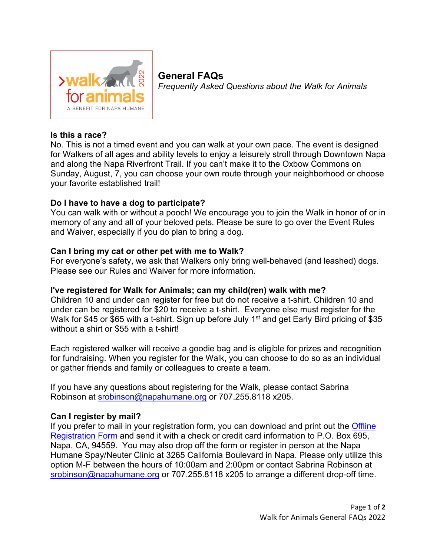

**General FAQs** *Frequently Asked Questions about the Walk for Animals*

# **Is this a race?**

No. This is not a timed event and you can walk at your own pace. The event is designed for Walkers of all ages and ability levels to enjoy a leisurely stroll through Downtown Napa and along the Napa Riverfront Trail. If you can't make it to the Oxbow Commons on Sunday, August, 7, you can choose your own route through your neighborhood or choose your favorite established trail!

# **Do I have to have a dog to participate?**

You can walk with or without a pooch! We encourage you to join the Walk in honor of or in memory of any and all of your beloved pets. Please be sure to go over the Event Rules and Waiver, especially if you do plan to bring a dog.

# **Can I bring my cat or other pet with me to Walk?**

For everyone's safety, we ask that Walkers only bring well-behaved (and leashed) dogs. Please see our Rules and Waiver for more information.

## **I've registered for Walk for Animals; can my child(ren) walk with me?**

Children 10 and under can register for free but do not receive a t-shirt. Children 10 and under can be registered for \$20 to receive a t-shirt. Everyone else must register for the Walk for \$45 or \$65 with a t-shirt. Sign up before July 1<sup>st</sup> and get Early Bird pricing of \$35 without a shirt or \$55 with a t-shirt!

Each registered walker will receive a goodie bag and is eligible for prizes and recognition for fundraising. When you register for the Walk, you can choose to do so as an individual or gather friends and family or colleagues to create a team.

If you have any questions about registering for the Walk, please contact Sabrina Robinson at [srobinson@napahumane.org](mailto:srobinson@napahumane.org) or 707.255.8118 x205.

## **Can I register by mail?**

If you prefer to mail in your registration form, you can download and print out the Offline [Registration Form](https://napahumane.org/wp-content/uploads/2022/05/Offline_Registration_Form_FINAL2022.pdf) and send it with a check or credit card information to P.O. Box 695, Napa, CA, 94559. You may also drop off the form or register in person at the Napa Humane Spay/Neuter Clinic at 3265 California Boulevard in Napa. Please only utilize this option M-F between the hours of 10:00am and 2:00pm or contact Sabrina Robinson at [srobinson@napahumane.org](mailto:srobinson@napahumane.org) or 707.255.8118 x205 to arrange a different drop-off time.